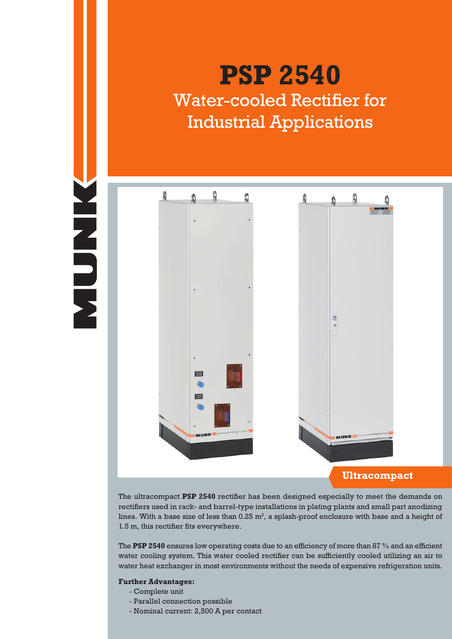# **NHADER**

# **PSP 2540** Water-cooled Rectifier for Industrial Applications



The ultracompact **PSP 2540** rectifier has been designed especially to meet the demands on rectifiers used in rack- and barrel-type installations in plating plants and small part anodizing lines. With a base size of less than  $0.25 \text{ m}^2$ , a splash-proof enclosure with base and a height of 1.5 m, this rectifier fits everywhere.

The **PSP 2540** ensures low operating costs due to an efficiency of more than 87 % and an efficient water cooling system. This water cooled rectifier can be sufficiently cooled utilizing an air to water heat exchanger in most environments without the needs of expensive refrigeration units.

# **Further Advantages:**

- Complete unit
- Parallel connection possible
- Nominal current: 2,500 A per contact